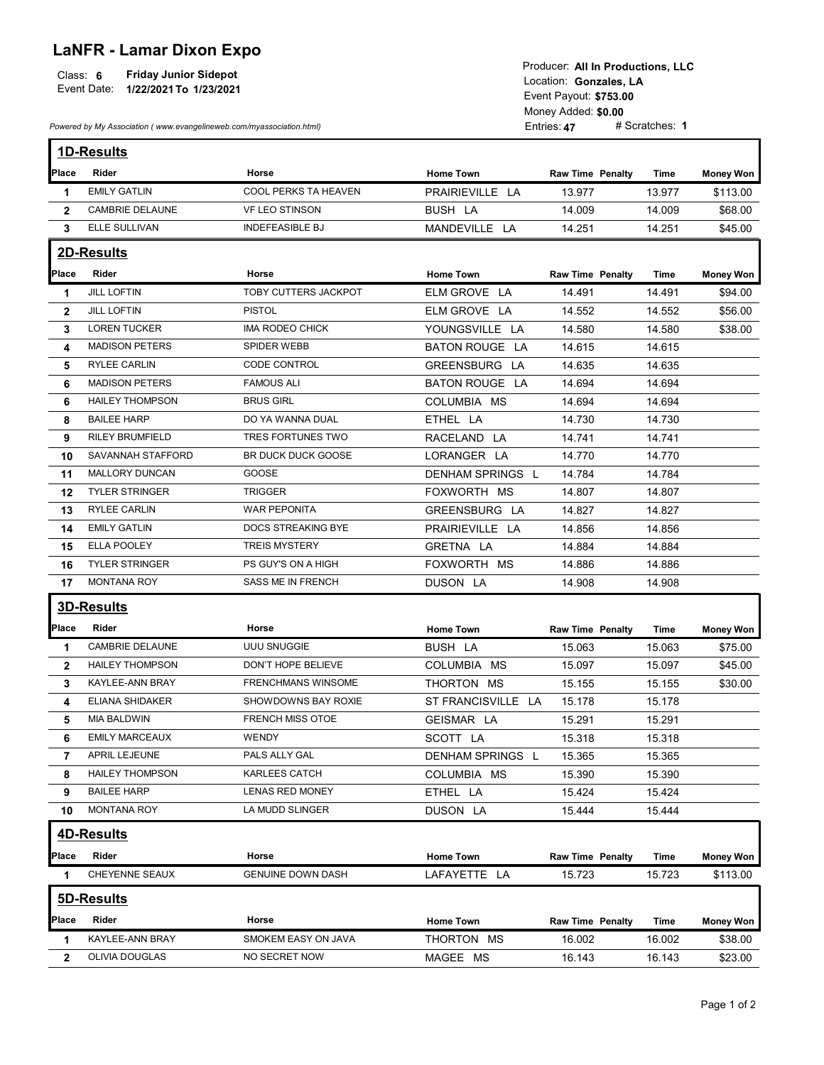## LaNFR - Lamar Dixon Expo

|             |                              | I TOUUCCI. AIT III FTUUUCHUIIS. LLU |
|-------------|------------------------------|-------------------------------------|
| Class:      | <b>Friday Junior Sidepot</b> | Location: Gonzales, LA              |
| Event Date: | 1/22/2021 To 1/23/2021       |                                     |
|             |                              | $FY$ ont Dovout: 6752.00            |

|                | Event Date: 1/22/2021 To 1/23/2021                                   | <b>Friday Junior Sidepot</b> |                    | Producer: All In Productions, LLC<br>Location: Gonzales, LA<br>Event Payout: \$753.00<br>Money Added: \$0.00 |                |                  |
|----------------|----------------------------------------------------------------------|------------------------------|--------------------|--------------------------------------------------------------------------------------------------------------|----------------|------------------|
|                | Powered by My Association (www.evangelineweb.com/myassociation.html) |                              |                    | Entries: 47                                                                                                  | # Scratches: 1 |                  |
|                | <b>1D-Results</b>                                                    |                              |                    |                                                                                                              |                |                  |
| Place          | Rider                                                                | Horse                        | <b>Home Town</b>   | <b>Raw Time Penalty</b>                                                                                      | Time           | <b>Money Won</b> |
| -1             | <b>EMILY GATLIN</b>                                                  | COOL PERKS TA HEAVEN         | PRAIRIEVILLE LA    | 13.977                                                                                                       | 13.977         | \$113.00         |
| $\overline{2}$ | CAMBRIE DELAUNE                                                      | VF LEO STINSON               | <b>BUSH LA</b>     | 14.009                                                                                                       | 14.009         | \$68.00          |
| $3^{\circ}$    | ELLE SULLIVAN                                                        | <b>INDEFEASIBLE BJ</b>       | MANDEVILLE LA      | 14.251                                                                                                       | 14.251         | \$45.00          |
|                | 2D-Results                                                           |                              |                    |                                                                                                              |                |                  |
| Place          | Rider                                                                | Horse                        | <b>Home Town</b>   | <b>Raw Time Penalty</b>                                                                                      | <b>Time</b>    | <b>Money Won</b> |
| $\mathbf 1$    | <b>JILL LOFTIN</b>                                                   | TOBY CUTTERS JACKPOT         | ELM GROVE LA       | 14.491                                                                                                       | 14.491         | \$94.00          |
| $\mathbf{2}$   | <b>JILL LOFTIN</b>                                                   | <b>PISTOL</b>                | ELM GROVE LA       | 14.552                                                                                                       | 14.552         | \$56.00          |
| 3              | <b>LOREN TUCKER</b>                                                  | IMA RODEO CHICK              | YOUNGSVILLE LA     | 14.580                                                                                                       | 14.580         | \$38.00          |
| 4              | <b>MADISON PETERS</b>                                                | SPIDER WEBB                  | BATON ROUGE LA     | 14.615                                                                                                       | 14.615         |                  |
| 5              | <b>RYLEE CARLIN</b>                                                  | CODE CONTROL                 | GREENSBURG LA      | 14.635                                                                                                       | 14.635         |                  |
| 6              | <b>MADISON PETERS</b>                                                | <b>FAMOUS ALI</b>            | BATON ROUGE LA     | 14.694                                                                                                       | 14.694         |                  |
| 6              | <b>HAILEY THOMPSON</b>                                               | <b>BRUS GIRL</b>             | COLUMBIA MS        | 14.694                                                                                                       | 14.694         |                  |
| 8              | <b>BAILEE HARP</b>                                                   | DO YA WANNA DUAL             | ETHEL LA           | 14.730                                                                                                       | 14.730         |                  |
| 9              | <b>RILEY BRUMFIELD</b>                                               | TRES FORTUNES TWO            | RACELAND LA        | 14.741                                                                                                       | 14.741         |                  |
| 10             | SAVANNAH STAFFORD                                                    | BR DUCK DUCK GOOSE           | LORANGER LA        | 14.770                                                                                                       | 14.770         |                  |
| 11             | MALLORY DUNCAN                                                       | GOOSE                        | DENHAM SPRINGS L   | 14.784                                                                                                       | 14.784         |                  |
| 12             | <b>TYLER STRINGER</b>                                                | <b>TRIGGER</b>               | FOXWORTH MS        | 14.807                                                                                                       | 14.807         |                  |
| 13             | <b>RYLEE CARLIN</b>                                                  | WAR PEPONITA                 | GREENSBURG LA      | 14.827                                                                                                       | 14.827         |                  |
| 14             | <b>EMILY GATLIN</b>                                                  | DOCS STREAKING BYE           | PRAIRIEVILLE LA    | 14.856                                                                                                       | 14.856         |                  |
| 15             | <b>ELLA POOLEY</b>                                                   | <b>TREIS MYSTERY</b>         | GRETNA LA          | 14.884                                                                                                       | 14.884         |                  |
| 16.            | <b>TYLER STRINGER</b>                                                | PS GUY'S ON A HIGH           | FOXWORTH MS        | 14.886                                                                                                       | 14.886         |                  |
| 17             | <b>MONTANA ROY</b>                                                   | SASS ME IN FRENCH            | DUSON LA           | 14.908                                                                                                       | 14.908         |                  |
|                |                                                                      |                              |                    |                                                                                                              |                |                  |
|                | 3D-Results                                                           |                              |                    |                                                                                                              |                |                  |
| Place          | Rider                                                                | Horse                        | <b>Home Town</b>   | <b>Raw Time Penalty</b>                                                                                      | <b>Time</b>    | <b>Money Won</b> |
| -1             | CAMBRIE DELAUNE                                                      | UUU SNUGGIE                  | BUSH LA            | 15.063                                                                                                       | 15.063         | \$75.00          |
| $\mathbf{2}$   | <b>HAILEY THOMPSON</b>                                               | DON'T HOPE BELIEVE           | COLUMBIA MS        | 15.097                                                                                                       | 15.097         | \$45.00          |
| 3              | KAYLEE-ANN BRAY                                                      | <b>FRENCHMANS WINSOME</b>    | THORTON MS         | 15.155                                                                                                       | 15.155         | \$30.00          |
| 4              | <b>ELIANA SHIDAKER</b>                                               | SHOWDOWNS BAY ROXIE          | ST FRANCISVILLE LA | 15.178                                                                                                       | 15.178         |                  |
| 5              | MIA BALDWIN                                                          | FRENCH MISS OTOE             | GEISMAR LA         | 15.291                                                                                                       | 15.291         |                  |
| 6              | <b>EMILY MARCEAUX</b>                                                | <b>WENDY</b>                 | SCOTT LA           | 15.318                                                                                                       | 15.318         |                  |
| 7              | APRIL LEJEUNE                                                        | PALS ALLY GAL                | DENHAM SPRINGS L   | 15.365                                                                                                       | 15.365         |                  |
| 8              | <b>HAILEY THOMPSON</b>                                               | KARLEES CATCH                | COLUMBIA MS        | 15.390                                                                                                       | 15.390         |                  |
| 9              | <b>BAILEE HARP</b>                                                   | LENAS RED MONEY              | ETHEL LA           | 15.424                                                                                                       | 15.424         |                  |
| 10             | <b>MONTANA ROY</b>                                                   | LA MUDD SLINGER              | DUSON LA           | 15.444                                                                                                       | 15.444         |                  |
|                | 4D-Results                                                           |                              |                    |                                                                                                              |                |                  |
|                |                                                                      |                              |                    |                                                                                                              |                |                  |
| Place          | Rider                                                                | Horse                        | <b>Home Town</b>   | <b>Raw Time Penalty</b>                                                                                      | Time           | <b>Money Won</b> |
| $\mathbf 1$    | CHEYENNE SEAUX                                                       | <b>GENUINE DOWN DASH</b>     | LAFAYETTE LA       | 15.723                                                                                                       | 15.723         | \$113.00         |
|                | 5D-Results                                                           |                              |                    |                                                                                                              |                |                  |
| Place          | Rider                                                                | Horse                        | <b>Home Town</b>   | <b>Raw Time Penalty</b>                                                                                      | Time           | <b>Money Won</b> |
| -1             | KAYLEE-ANN BRAY                                                      | SMOKEM EASY ON JAVA          | THORTON MS         | 16.002                                                                                                       | 16.002         | \$38.00          |
|                | OLIVIA DOUGLAS                                                       | NO SECRET NOW                | MAGEE MS           | 16.143                                                                                                       |                | \$23.00          |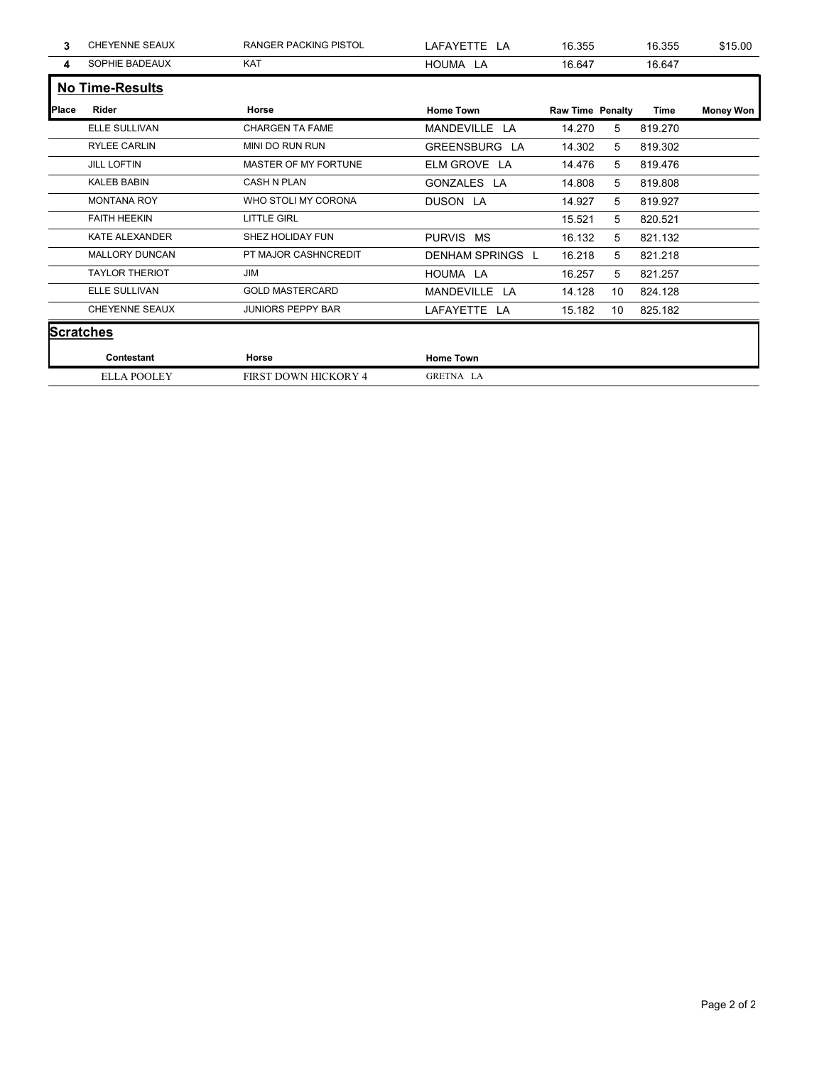| 3            | CHEYENNE SEAUX         | RANGER PACKING PISTOL  | LAFAYETTE LA     | 16.355                  |                 | 16.355      | \$15.00          |
|--------------|------------------------|------------------------|------------------|-------------------------|-----------------|-------------|------------------|
| 4            | SOPHIE BADEAUX         | KAT                    | HOUMA LA         | 16.647                  |                 | 16.647      |                  |
|              | <b>No Time-Results</b> |                        |                  |                         |                 |             |                  |
| <b>Place</b> | Rider                  | Horse                  | <b>Home Town</b> | <b>Raw Time Penalty</b> |                 | <b>Time</b> | <b>Money Won</b> |
|              | ELLE SULLIVAN          | <b>CHARGEN TA FAME</b> | MANDEVILLE LA    | 14.270                  | $5\phantom{.0}$ | 819.270     |                  |
|              | RYLEE CARLIN           | MINI DO RUN RUN        | GREENSBURG LA    | 14.302                  | 5               | 819.302     |                  |
|              | <b>JILL LOFTIN</b>     | MASTER OF MY FORTUNE   | ELM GROVE LA     | 14.476                  | 5               | 819.476     |                  |
|              | <b>KALEB BABIN</b>     | CASH N PLAN            | GONZALES LA      | 14.808                  | $5\phantom{.0}$ | 819.808     |                  |
|              |                        |                        |                  |                         |                 |             |                  |
|              | <b>MONTANA ROY</b>     | WHO STOLI MY CORONA    | DUSON LA         | 14.927                  | $5\phantom{.0}$ | 819.927     |                  |
|              | <b>FAITH HEEKIN</b>    | <b>LITTLE GIRL</b>     |                  | 15.521                  | 5               | 820.521     |                  |
|              | KATE ALEXANDER         | SHEZ HOLIDAY FUN       | PURVIS MS        | 16.132                  | 5               | 821.132     |                  |
|              | MALLORY DUNCAN         | PT MAJOR CASHNCREDIT   | DENHAM SPRINGS L | 16.218                  | 5               | 821.218     |                  |
|              | <b>TAYLOR THERIOT</b>  | JIM                    | HOUMA LA         | 16.257                  | $5\phantom{.0}$ | 821.257     |                  |
|              | ELLE SULLIVAN          | <b>GOLD MASTERCARD</b> | MANDEVILLE LA    | 14.128                  | 10              | 824.128     |                  |
|              | CHEYENNE SEAUX         | JUNIORS PEPPY BAR      | LAFAYETTE LA     | 15.182                  | 10              | 825.182     |                  |
|              | <b>Scratches</b>       |                        |                  |                         |                 |             |                  |
|              | Contestant             | Horse                  | <b>Home Town</b> |                         |                 |             |                  |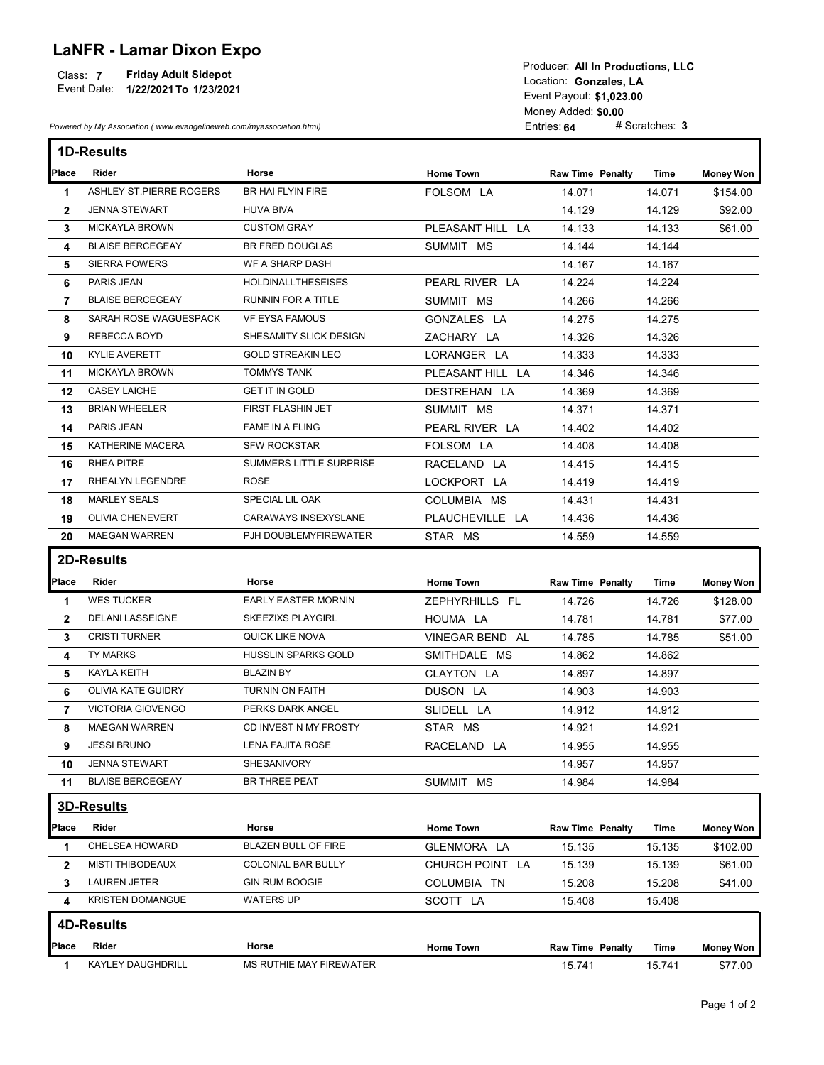## LaNFR - Lamar Dixon Expo

## Class: 7 Friday Adult Sidepot

| Place          | Powered by My Association (www.evangelineweb.com/myassociation.html) | <b>Friday Adult Sidepot</b><br>Event Date: 1/22/2021 To 1/23/2021 |                            | Producer: All In Productions, LLC<br>Location: Gonzales, LA<br>Event Payout: \$1,023.00<br>Money Added: \$0.00<br>Entries: 64 | # Scratches: 3   |                  |
|----------------|----------------------------------------------------------------------|-------------------------------------------------------------------|----------------------------|-------------------------------------------------------------------------------------------------------------------------------|------------------|------------------|
|                | 1D-Results                                                           |                                                                   |                            |                                                                                                                               |                  |                  |
|                | Rider                                                                | Horse                                                             | <b>Home Town</b>           | <b>Raw Time Penalty</b>                                                                                                       | Time             | <b>Money Won</b> |
| 1              | ASHLEY ST.PIERRE ROGERS                                              | BR HAI FLYIN FIRE                                                 | FOLSOM LA                  | 14.071                                                                                                                        | 14.071           | \$154.00         |
| $\overline{2}$ | <b>JENNA STEWART</b>                                                 | <b>HUVA BIVA</b>                                                  |                            | 14.129                                                                                                                        | 14.129           | \$92.00          |
| 3              | <b>MICKAYLA BROWN</b>                                                | <b>CUSTOM GRAY</b>                                                | PLEASANT HILL LA           | 14.133                                                                                                                        | 14.133           | \$61.00          |
| 4              | <b>BLAISE BERCEGEAY</b>                                              | BR FRED DOUGLAS                                                   | SUMMIT MS                  | 14.144                                                                                                                        | 14.144           |                  |
| 5              | <b>SIERRA POWERS</b>                                                 | WF A SHARP DASH                                                   |                            | 14.167                                                                                                                        | 14.167           |                  |
| 6              | PARIS JEAN                                                           | <b>HOLDINALLTHESEISES</b>                                         | PEARL RIVER LA             | 14.224                                                                                                                        | 14.224           |                  |
| 7              | <b>BLAISE BERCEGEAY</b>                                              | <b>RUNNIN FOR A TITLE</b>                                         | SUMMIT MS                  | 14.266                                                                                                                        | 14.266           |                  |
| 8              | SARAH ROSE WAGUESPACK                                                | VF EYSA FAMOUS                                                    | GONZALES LA                | 14.275                                                                                                                        | 14.275           |                  |
| 9              | REBECCA BOYD                                                         | SHESAMITY SLICK DESIGN                                            | ZACHARY LA                 | 14.326                                                                                                                        | 14.326           |                  |
| 10             | KYLIE AVERETT                                                        | <b>GOLD STREAKIN LEO</b>                                          | LORANGER LA                | 14.333                                                                                                                        | 14.333           |                  |
| 11             | <b>MICKAYLA BROWN</b>                                                | <b>TOMMYS TANK</b>                                                | PLEASANT HILL LA           | 14.346                                                                                                                        | 14.346           |                  |
| 12             | <b>CASEY LAICHE</b>                                                  | <b>GET IT IN GOLD</b>                                             | DESTREHAN LA               | 14.369                                                                                                                        | 14.369           |                  |
| 13             | <b>BRIAN WHEELER</b>                                                 | FIRST FLASHIN JET                                                 | SUMMIT MS                  | 14.371                                                                                                                        | 14.371           |                  |
| 14             | PARIS JEAN                                                           | FAME IN A FLING                                                   | PEARL RIVER LA             | 14.402                                                                                                                        | 14.402           |                  |
| 15             | KATHERINE MACERA<br><b>RHEA PITRE</b>                                | <b>SFW ROCKSTAR</b><br>SUMMERS LITTLE SURPRISE                    | FOLSOM LA<br>RACELAND LA   | 14.408<br>14.415                                                                                                              | 14.408<br>14.415 |                  |
| 16             | RHEALYN LEGENDRE                                                     | ROSE                                                              |                            |                                                                                                                               |                  |                  |
| 17             | <b>MARLEY SEALS</b>                                                  | SPECIAL LIL OAK                                                   | LOCKPORT LA<br>COLUMBIA MS | 14.419<br>14.431                                                                                                              | 14.419<br>14.431 |                  |
| 18<br>19       | <b>OLIVIA CHENEVERT</b>                                              | CARAWAYS INSEXYSLANE                                              | PLAUCHEVILLE LA            | 14.436                                                                                                                        | 14.436           |                  |
| 20             | MAEGAN WARREN                                                        | PJH DOUBLEMYFIREWATER                                             | STAR MS                    | 14.559                                                                                                                        | 14.559           |                  |
|                |                                                                      |                                                                   |                            |                                                                                                                               |                  |                  |
|                | 2D-Results                                                           |                                                                   |                            |                                                                                                                               |                  |                  |
| Place          | Rider                                                                | Horse                                                             | <b>Home Town</b>           | <b>Raw Time Penalty</b>                                                                                                       | Time             | <b>Money Won</b> |
| $\mathbf{1}$   | <b>WES TUCKER</b>                                                    | <b>EARLY EASTER MORNIN</b>                                        | ZEPHYRHILLS FL             | 14.726                                                                                                                        | 14.726           | \$128.00         |
| $\mathbf{2}$   | <b>DELANI LASSEIGNE</b>                                              | <b>SKEEZIXS PLAYGIRL</b>                                          | HOUMA LA                   | 14.781                                                                                                                        | 14.781           | \$77.00          |
| 3              | <b>CRISTI TURNER</b>                                                 | QUICK LIKE NOVA                                                   | VINEGAR BEND AL            | 14.785                                                                                                                        | 14.785           | \$51.00          |
| 4              | TY MARKS                                                             | HUSSLIN SPARKS GOLD                                               | SMITHDALE MS               | 14.862                                                                                                                        | 14.862           |                  |
| 5              | <b>KAYLA KEITH</b>                                                   | <b>BLAZIN BY</b>                                                  | CLAYTON LA                 | 14.897                                                                                                                        | 14.897           |                  |
| 6              | OLIVIA KATE GUIDRY                                                   | <b>TURNIN ON FAITH</b>                                            | DUSON LA                   | 14.903                                                                                                                        | 14.903           |                  |
| 7              | <b>VICTORIA GIOVENGO</b>                                             | PERKS DARK ANGEL                                                  | SLIDELL LA                 | 14.912                                                                                                                        | 14.912           |                  |
| 8              | <b>MAEGAN WARREN</b>                                                 | CD INVEST N MY FROSTY                                             | STAR MS                    | 14.921                                                                                                                        | 14.921           |                  |
| 9              | <b>JESSI BRUNO</b>                                                   | LENA FAJITA ROSE                                                  | RACELAND LA                | 14.955                                                                                                                        | 14.955           |                  |
| 10             | <b>JENNA STEWART</b>                                                 | SHESANIVORY                                                       |                            | 14.957                                                                                                                        | 14.957           |                  |
| 11             | <b>BLAISE BERCEGEAY</b>                                              | BR THREE PEAT                                                     | SUMMIT MS                  | 14.984                                                                                                                        | 14.984           |                  |
|                | <b>3D-Results</b>                                                    |                                                                   |                            |                                                                                                                               |                  |                  |
| Place          | Rider                                                                | Horse                                                             | <b>Home Town</b>           | <b>Raw Time Penalty</b>                                                                                                       | Time             | <b>Money Won</b> |
| 1              | CHELSEA HOWARD                                                       | BLAZEN BULL OF FIRE                                               | GLENMORA LA                | 15.135                                                                                                                        | 15.135           | \$102.00         |
| $\mathbf{2}$   | <b>MISTI THIBODEAUX</b>                                              | COLONIAL BAR BULLY                                                | CHURCH POINT LA            | 15.139                                                                                                                        | 15.139           | \$61.00          |
| 3              | <b>LAUREN JETER</b>                                                  | <b>GIN RUM BOOGIE</b>                                             | COLUMBIA TN                | 15.208                                                                                                                        | 15.208           | \$41.00          |
| 4              | <b>KRISTEN DOMANGUE</b>                                              | <b>WATERS UP</b>                                                  | SCOTT LA                   | 15.408                                                                                                                        | 15.408           |                  |
|                |                                                                      |                                                                   |                            |                                                                                                                               |                  |                  |
|                | <b>4D-Results</b>                                                    |                                                                   |                            |                                                                                                                               |                  |                  |
| Place          | Rider                                                                | Horse                                                             | <b>Home Town</b>           | Raw Time Penalty                                                                                                              | Time             | <b>Money Won</b> |
|                | <b>KAYLEY DAUGHDRILL</b>                                             | MS RUTHIE MAY FIREWATER                                           |                            |                                                                                                                               |                  |                  |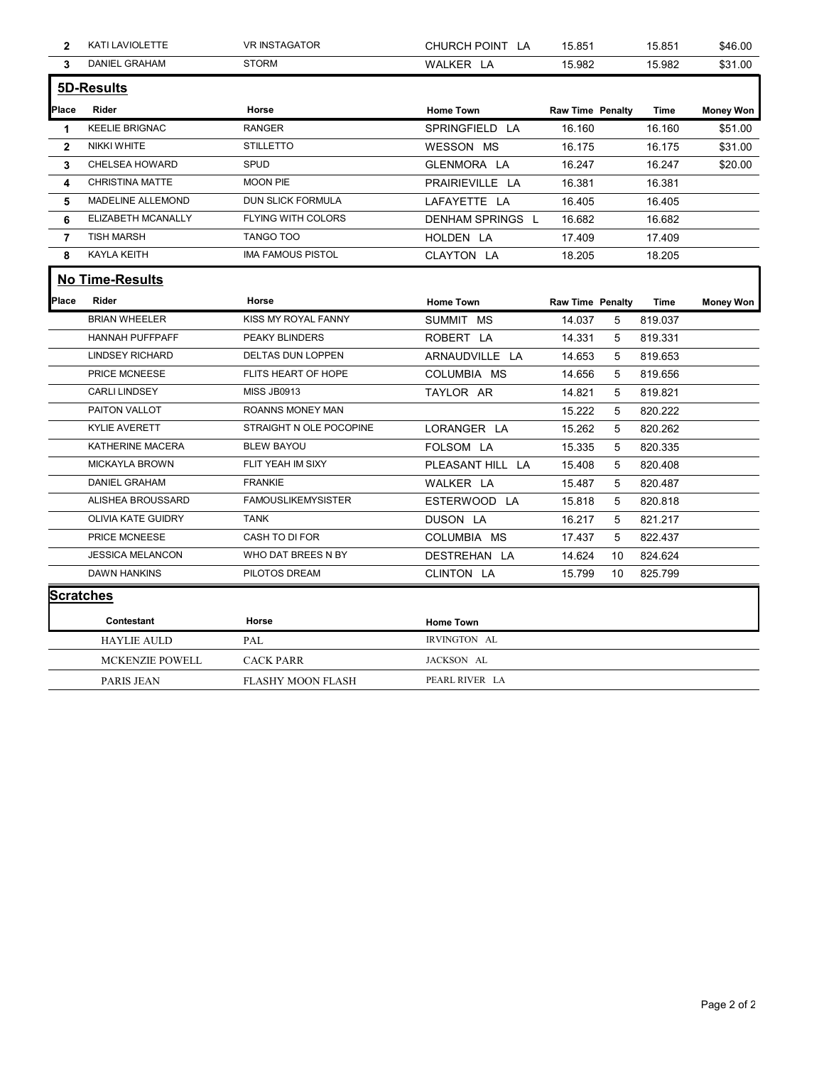| $\mathbf{2}$ | KATI LAVIOLETTE         | <b>VR INSTAGATOR</b>      | CHURCH POINT LA  | 15.851                  |    | 15.851  | \$46.00          |
|--------------|-------------------------|---------------------------|------------------|-------------------------|----|---------|------------------|
| $\mathbf{3}$ | DANIEL GRAHAM           | <b>STORM</b>              | WALKER LA        | 15.982                  |    | 15.982  | \$31.00          |
|              | 5D-Results              |                           |                  |                         |    |         |                  |
| Place        | Rider                   | Horse                     | <b>Home Town</b> | <b>Raw Time Penalty</b> |    | Time    | <b>Money Won</b> |
| -1           | <b>KEELIE BRIGNAC</b>   | RANGER                    | SPRINGFIELD LA   | 16.160                  |    | 16.160  | \$51.00          |
| $\mathbf{2}$ | NIKKI WHITE             | <b>STILLETTO</b>          | WESSON MS        | 16.175                  |    | 16.175  | \$31.00          |
| 3            | CHELSEA HOWARD          | SPUD                      | GLENMORA LA      | 16.247                  |    | 16.247  | \$20.00          |
| 4            | CHRISTINA MATTE         | <b>MOON PIE</b>           | PRAIRIEVILLE LA  | 16.381                  |    | 16.381  |                  |
| 5            | MADELINE ALLEMOND       | DUN SLICK FORMULA         | LAFAYETTE LA     | 16.405                  |    | 16.405  |                  |
| 6            | ELIZABETH MCANALLY      | FLYING WITH COLORS        | DENHAM SPRINGS L | 16.682                  |    | 16.682  |                  |
| 7            | <b>TISH MARSH</b>       | TANGO TOO                 | HOLDEN LA        | 17.409                  |    | 17.409  |                  |
| 8            | KAYLA KEITH             | <b>IMA FAMOUS PISTOL</b>  | CLAYTON LA       | 18.205                  |    | 18.205  |                  |
|              | <b>No Time-Results</b>  |                           |                  |                         |    |         |                  |
| Place        | Rider                   | Horse                     | <b>Home Town</b> | <b>Raw Time Penalty</b> |    | Time    | <b>Money Won</b> |
|              | <b>BRIAN WHEELER</b>    | KISS MY ROYAL FANNY       | SUMMIT MS        | 14.037                  | 5  | 819.037 |                  |
|              | HANNAH PUFFPAFF         | PEAKY BLINDERS            | ROBERT LA        | 14.331                  | 5  | 819.331 |                  |
|              | <b>LINDSEY RICHARD</b>  | DELTAS DUN LOPPEN         | ARNAUDVILLE LA   | 14.653                  | 5  | 819.653 |                  |
|              | PRICE MCNEESE           | FLITS HEART OF HOPE       | COLUMBIA MS      | 14.656                  | 5  | 819.656 |                  |
|              | <b>CARLI LINDSEY</b>    | <b>MISS JB0913</b>        | TAYLOR AR        | 14.821                  | 5  | 819.821 |                  |
|              | PAITON VALLOT           | ROANNS MONEY MAN          |                  | 15.222                  | 5  | 820.222 |                  |
|              | KYLIE AVERETT           | STRAIGHT N OLE POCOPINE   | LORANGER LA      | 15.262                  | 5  | 820.262 |                  |
|              | KATHERINE MACERA        | <b>BLEW BAYOU</b>         | FOLSOM LA        | 15.335                  | 5  | 820.335 |                  |
|              | <b>MICKAYLA BROWN</b>   | FLIT YEAH IM SIXY         | PLEASANT HILL LA | 15.408                  | 5  | 820.408 |                  |
|              | DANIEL GRAHAM           | <b>FRANKIE</b>            | WALKER LA        | 15.487                  | 5  | 820.487 |                  |
|              | ALISHEA BROUSSARD       | <b>FAMOUSLIKEMYSISTER</b> | ESTERWOOD LA     | 15.818                  | 5  | 820.818 |                  |
|              | OLIVIA KATE GUIDRY      | TANK                      | DUSON LA         | 16.217                  | 5  | 821.217 |                  |
|              | PRICE MCNEESE           | CASH TO DI FOR            | COLUMBIA MS      | 17.437                  | 5  | 822.437 |                  |
|              | <b>JESSICA MELANCON</b> | WHO DAT BREES N BY        | DESTREHAN LA     | 14.624                  | 10 | 824.624 |                  |
|              | DAWN HANKINS            | PILOTOS DREAM             | CLINTON LA       | 15.799                  | 10 | 825.799 |                  |
|              | <b>Scratches</b>        |                           |                  |                         |    |         |                  |
|              | Contestant              | Horse                     | <b>Home Town</b> |                         |    |         |                  |
|              | <b>HAYLIE AULD</b>      | PAL                       | IRVINGTON AL     |                         |    |         |                  |
|              | MCKENZIE POWELL         | <b>CACK PARR</b>          | JACKSON AL       |                         |    |         |                  |
|              | PARIS JEAN              | FLASHY MOON FLASH         | PEARL RIVER LA   |                         |    |         |                  |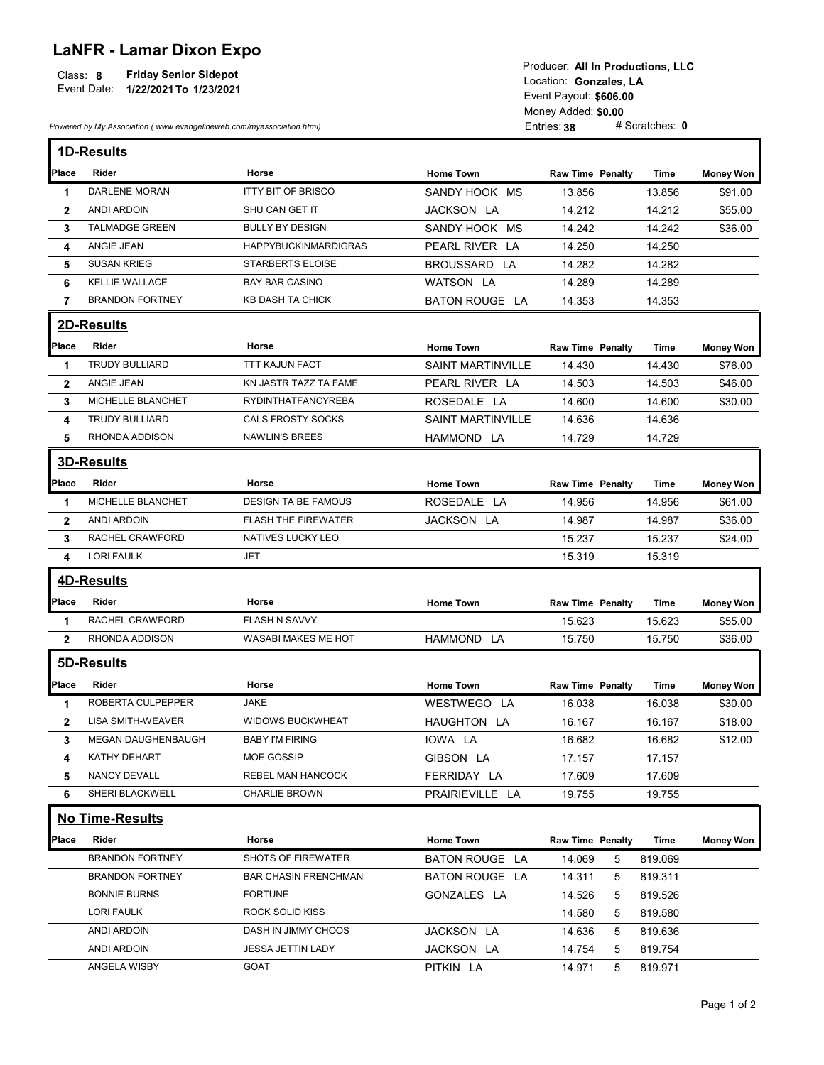## LaNFR - Lamar Dixon Expo

| <b>Friday Senior Sidepot</b><br>Class: 8<br>Event Date:<br>1/22/2021 To 1/23/2021 | Producer: All In Productions, LLC<br>Location: Gonzales. LA<br>Event Payout: \$606.00 |
|-----------------------------------------------------------------------------------|---------------------------------------------------------------------------------------|
|                                                                                   | Money Added: \$0.00                                                                   |
| Powered by My Association (www.evangelineweb.com/myassociation.html)              | # Scratches: 0<br>Entries: 38                                                         |

|                              | Event Date: 1/22/2021 To 1/23/2021<br>Powered by My Association (www.evangelineweb.com/myassociation.html) | <b>Friday Senior Sidepot</b>                |                                  | Producer: All In Productions, LLC<br>Location: Gonzales, LA<br>Event Payout: \$606.00<br>Money Added: \$0.00<br>Entries: 38 | # Scratches: 0   |                    |
|------------------------------|------------------------------------------------------------------------------------------------------------|---------------------------------------------|----------------------------------|-----------------------------------------------------------------------------------------------------------------------------|------------------|--------------------|
|                              | 1D-Results                                                                                                 |                                             |                                  |                                                                                                                             |                  |                    |
| Place                        | Rider                                                                                                      | Horse                                       | <b>Home Town</b>                 | <b>Raw Time Penalty</b>                                                                                                     | Time             | <b>Money Won</b>   |
| -1                           | <b>DARLENE MORAN</b><br><b>ANDI ARDOIN</b>                                                                 | <b>ITTY BIT OF BRISCO</b><br>SHU CAN GET IT | SANDY HOOK MS<br>JACKSON LA      | 13.856<br>14.212                                                                                                            | 13.856           | \$91.00            |
| $\mathbf{2}$<br>3            | <b>TALMADGE GREEN</b>                                                                                      | <b>BULLY BY DESIGN</b>                      | SANDY HOOK MS                    | 14.242                                                                                                                      | 14.212<br>14.242 | \$55.00<br>\$36.00 |
| 4                            | ANGIE JEAN                                                                                                 | <b>HAPPYBUCKINMARDIGRAS</b>                 | PEARL RIVER LA                   | 14.250                                                                                                                      | 14.250           |                    |
| 5                            | <b>SUSAN KRIEG</b>                                                                                         | <b>STARBERTS ELOISE</b>                     | BROUSSARD LA                     | 14.282                                                                                                                      | 14.282           |                    |
| 6                            | KELLIE WALLACE                                                                                             | BAY BAR CASINO                              | <b>WATSON LA</b>                 | 14.289                                                                                                                      | 14.289           |                    |
| $\overline{7}$               | <b>BRANDON FORTNEY</b>                                                                                     | KB DASH TA CHICK                            | <b>BATON ROUGE LA</b>            | 14.353                                                                                                                      | 14.353           |                    |
|                              | 2D-Results                                                                                                 |                                             |                                  |                                                                                                                             |                  |                    |
| Place                        | Rider                                                                                                      | Horse                                       | <b>Home Town</b>                 | <b>Raw Time Penalty</b>                                                                                                     | <b>Time</b>      | Money Won          |
| 1                            | <b>TRUDY BULLIARD</b>                                                                                      | <b>TTT KAJUN FACT</b>                       | <b>SAINT MARTINVILLE</b>         | 14.430                                                                                                                      | 14.430           | \$76.00            |
| $\mathbf{2}$                 | ANGIE JEAN                                                                                                 | KN JASTR TAZZ TA FAME                       | PEARL RIVER LA                   | 14.503                                                                                                                      | 14.503           | \$46.00            |
| 3                            | MICHELLE BLANCHET                                                                                          | RYDINTHATFANCYREBA                          | ROSEDALE LA                      | 14.600                                                                                                                      | 14.600           | \$30.00            |
| 4                            | <b>TRUDY BULLIARD</b>                                                                                      | CALS FROSTY SOCKS                           | SAINT MARTINVILLE                | 14.636                                                                                                                      | 14.636           |                    |
| 5                            | RHONDA ADDISON                                                                                             | NAWLIN'S BREES                              | HAMMOND LA                       | 14.729                                                                                                                      | 14.729           |                    |
|                              | 3D-Results                                                                                                 |                                             |                                  |                                                                                                                             |                  |                    |
| Place                        | Rider                                                                                                      | Horse                                       | <b>Home Town</b>                 | <b>Raw Time Penalty</b>                                                                                                     | Time             | <b>Money Won</b>   |
| -1                           | MICHELLE BLANCHET                                                                                          | <b>DESIGN TA BE FAMOUS</b>                  | ROSEDALE LA                      | 14.956                                                                                                                      | 14.956           | \$61.00            |
| $\mathbf{2}$                 | ANDI ARDOIN                                                                                                | <b>FLASH THE FIREWATER</b>                  | JACKSON LA                       | 14.987                                                                                                                      | 14.987           | \$36.00            |
| 3                            | RACHEL CRAWFORD                                                                                            | NATIVES LUCKY LEO                           |                                  | 15.237                                                                                                                      | 15.237           | \$24.00            |
| 4                            | <b>LORI FAULK</b>                                                                                          | JET                                         |                                  | 15.319                                                                                                                      | 15.319           |                    |
|                              | <b>4D-Results</b>                                                                                          |                                             |                                  |                                                                                                                             |                  |                    |
| Place                        | Rider                                                                                                      | Horse                                       | <b>Home Town</b>                 | <b>Raw Time Penalty</b>                                                                                                     | Time             | <b>Money Won</b>   |
| -1                           | RACHEL CRAWFORD                                                                                            | <b>FLASH N SAVVY</b>                        |                                  | 15.623                                                                                                                      | 15.623           | \$55.00            |
| $\mathbf{2}$                 | RHONDA ADDISON                                                                                             | WASABI MAKES ME HOT                         | HAMMOND LA                       | 15.750                                                                                                                      | 15.750           | \$36.00            |
|                              | 5D-Results                                                                                                 |                                             |                                  |                                                                                                                             |                  |                    |
|                              |                                                                                                            |                                             |                                  |                                                                                                                             |                  |                    |
| Place                        | Rider<br>ROBERTA CULPEPPER                                                                                 | Horse<br><b>JAKE</b>                        | <b>Home Town</b>                 | <b>Raw Time Penalty</b>                                                                                                     | Time             | <b>Money Won</b>   |
| $\mathbf{1}$<br>$\mathbf{2}$ | <b>LISA SMITH-WEAVER</b>                                                                                   | <b>WIDOWS BUCKWHEAT</b>                     | WESTWEGO LA<br>HAUGHTON LA       | 16.038<br>16.167                                                                                                            | 16.038<br>16.167 | \$30.00<br>\$18.00 |
| 3                            | MEGAN DAUGHENBAUGH                                                                                         | <b>BABY I'M FIRING</b>                      | IOWA LA                          | 16.682                                                                                                                      | 16.682           | \$12.00            |
| 4                            | KATHY DEHART                                                                                               | MOE GOSSIP                                  | GIBSON LA                        | 17.157                                                                                                                      | 17.157           |                    |
| 5                            | NANCY DEVALL                                                                                               | REBEL MAN HANCOCK                           | FERRIDAY LA                      | 17.609                                                                                                                      | 17.609           |                    |
| 6                            | SHERI BLACKWELL                                                                                            | <b>CHARLIE BROWN</b>                        | PRAIRIEVILLE LA                  | 19.755                                                                                                                      | 19.755           |                    |
|                              | No Time-Results                                                                                            |                                             |                                  |                                                                                                                             |                  |                    |
| Place                        | Rider                                                                                                      |                                             |                                  |                                                                                                                             |                  |                    |
|                              | <b>BRANDON FORTNEY</b>                                                                                     | Horse<br>SHOTS OF FIREWATER                 | <b>Home Town</b>                 | <b>Raw Time Penalty</b>                                                                                                     | Time<br>819.069  | <b>Money Won</b>   |
|                              | <b>BRANDON FORTNEY</b>                                                                                     | <b>BAR CHASIN FRENCHMAN</b>                 | BATON ROUGE LA<br>BATON ROUGE LA | 14.069<br>$5\overline{)}$<br>$5\phantom{.0}$                                                                                | 819.311          |                    |
|                              | <b>BONNIE BURNS</b>                                                                                        | <b>FORTUNE</b>                              | GONZALES LA                      | 14.311<br>14.526<br>5                                                                                                       | 819.526          |                    |
|                              | <b>LORI FAULK</b>                                                                                          | ROCK SOLID KISS                             |                                  | 14.580<br>5                                                                                                                 | 819.580          |                    |
|                              | ANDI ARDOIN                                                                                                | DASH IN JIMMY CHOOS                         | JACKSON LA                       | 14.636<br>5                                                                                                                 | 819.636          |                    |
|                              | ANDI ARDOIN                                                                                                | JESSA JETTIN LADY                           | JACKSON LA                       | 14.754<br>5                                                                                                                 | 819.754          |                    |
|                              |                                                                                                            |                                             |                                  |                                                                                                                             |                  |                    |